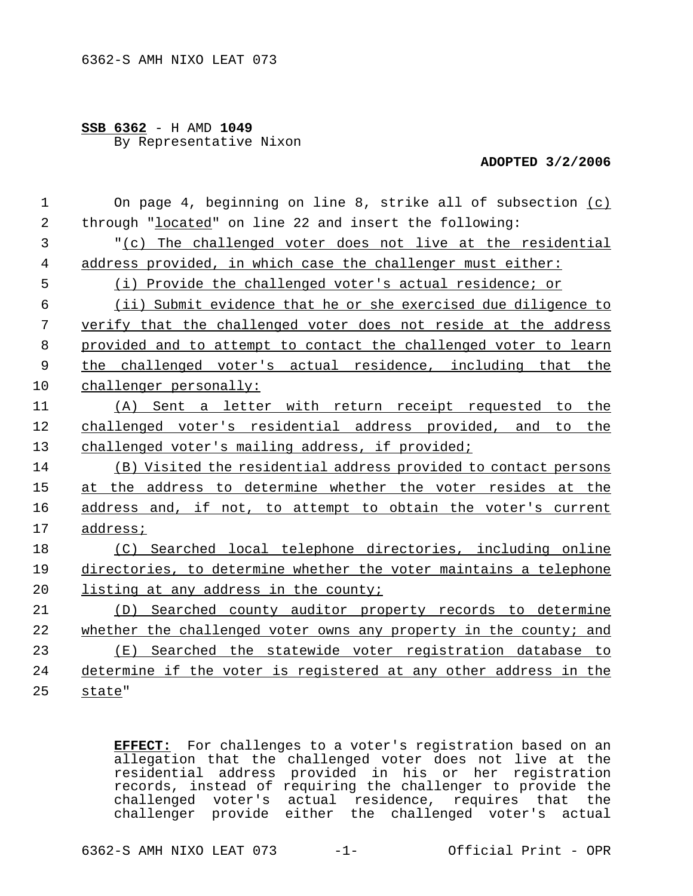## **SSB 6362** - H AMD **1049** By Representative Nixon

## **ADOPTED 3/2/2006**

| $\mathbf 1$    | On page 4, beginning on line 8, strike all of subsection (c)      |
|----------------|-------------------------------------------------------------------|
| $\overline{2}$ | through "located" on line 22 and insert the following:            |
| 3              | "(c) The challenged voter does not live at the residential        |
| 4              | address provided, in which case the challenger must either:       |
| 5              | (i) Provide the challenged voter's actual residence; or           |
| 6              | (ii) Submit evidence that he or she exercised due diligence to    |
| 7              | verify that the challenged voter does not reside at the address   |
| 8              | provided and to attempt to contact the challenged voter to learn  |
| 9              | the challenged voter's actual residence, including that the       |
| 10             | challenger personally:                                            |
| 11             | (A) Sent a letter with return receipt requested to the            |
| 12             | challenged voter's residential address provided, and to the       |
| 13             | challenged voter's mailing address, if provided;                  |
| 14             | (B) Visited the residential address provided to contact persons   |
| 15             | at the address to determine whether the voter resides at the      |
| 16             | address and, if not, to attempt to obtain the voter's current     |
| 17             | address;                                                          |
| 18             | (C) Searched local telephone directories, including online        |
| 19             | directories, to determine whether the voter maintains a telephone |
| 20             | listing at any address in the county;                             |
| 21             | (D) Searched county auditor property records to determine         |
| 22             | whether the challenged voter owns any property in the county; and |
| 23             | (E) Searched the statewide voter registration database to         |
| 24             | determine if the voter is registered at any other address in the  |
| 25             | state"                                                            |

**EFFECT:** For challenges to a voter's registration based on an allegation that the challenged voter does not live at the residential address provided in his or her registration records, instead of requiring the challenger to provide the challenged voter's actual residence, requires that the challenger provide either the challenged voter's actual